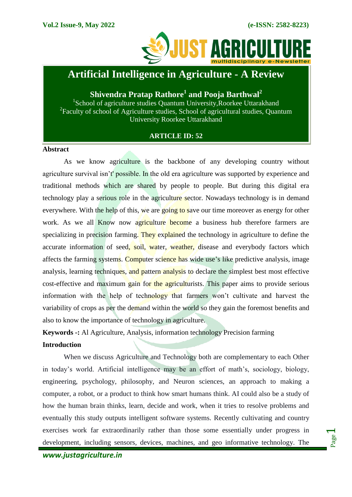

# **Artificial Intelligence in Agriculture - A Review**

## **Shivendra Pratap Rathore<sup>1</sup> and Pooja Barthwal<sup>2</sup>**

<sup>1</sup>School of agriculture studies Quantum University, Roorkee Uttarakhand <sup>2</sup> Faculty of school of Agriculture studies, School of agricultural studies, Quantum University Roorkee Uttarakhand

## **ARTICLE ID: 52**

#### **Abstract**

As we know agriculture is the backbone of any developing country without agriculture survival isn't' possible. In the old era agriculture was supported by experience and traditional methods which are shared by people to people. But during this digital era technology play a serious role in the agriculture sector. Nowadays technology is in demand everywhere. With the help of this, we are going to save our time moreover as energy for other work. As we all Know now agriculture become a business hub therefore farmers are specializing in precision farming. They explained the technology in agriculture to define the accurate information of seed, soil, water, weather, disease and everybody factors which affects the farming systems. Computer science has wide use's like predictive analysis, image analysis, learning techniques, and pattern analysis to declare the simplest best most effective cost-effective and maximum gain for the agriculturists. This paper aims to provide serious information with the help of technology that farmers won't cultivate and harvest the variability of crops as per the demand within the world so they gain the foremost benefits and also to know the importance of technology in agriculture.

## **Keywords -:** Al Agriculture, Analysis, information technology Precision farming

## **Introduction**

When we discuss Agriculture and Technology both are complementary to each Other in today's world. Artificial intelligence may be an effort of math's, sociology, biology, engineering, psychology, philosophy, and Neuron sciences, an approach to making a computer, a robot, or a product to think how smart humans think. AI could also be a study of how the human brain thinks, learn, decide and work, when it tries to resolve problems and eventually this study outputs intelligent software systems. Recently cultivating and country exercises work far extraordinarily rather than those some essentially under progress in development, including sensors, devices, machines, and geo informative technology. The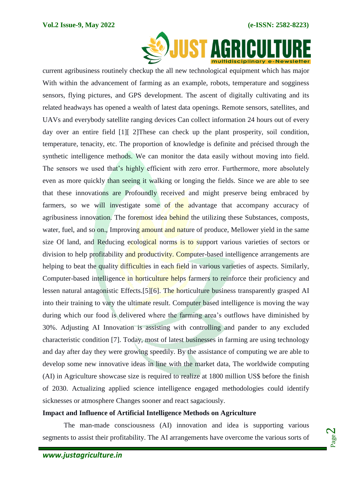

current agribusiness routinely checkup the all new technological equipment which has major With within the advancement of farming as an example, robots, temperature and sogginess sensors, flying pictures, and GPS development. The ascent of digitally cultivating and its related headways has opened a wealth of latest data openings. Remote sensors, satellites, and UAVs and everybody satellite ranging devices Can collect information 24 hours out of every day over an entire field [1][ 2]These can check up the plant prosperity, soil condition, temperature, tenacity, etc. The proportion of knowledge is definite and précised through the synthetic intelligence methods. We can monitor the data easily without moving into field. The sensors we used that's highly efficient with zero error. Furthermore, more absolutely even as more quickly than seeing it walking or longing the fields. Since we are able to see that these innovations are Profoundly received and might preserve being embraced by farmers, so we will investigate some of the advantage that accompany accuracy of agribusiness innovation. The foremost idea behind the utilizing these Substances, composts, water, fuel, and so on., Improving amount and nature of produce. Mellower vield in the same size Of land, and Reducing ecological norms is to support various varieties of sectors or division to help profitability and productivity. Computer-based intelligence arrangements are helping to beat the quality difficulties in each field in various varieties of aspects. Similarly, Computer-based intelligence in horticulture helps farmers to reinforce their proficiency and lessen natural antagonistic Effects.[5][6]. The horticulture business transparently grasped AI into their training to vary the ultimate result. Computer based intelligence is moving the way during which our food is delivered where the farming area's outflows have diminished by 30%. Adjusting AI Innovation is assisting with controlling and pander to any excluded characteristic condition [7]. Today, most of latest businesses in farming are using technology and day after day they were growing speedily. By the assistance of computing we are able to develop some new innovative ideas in line with the market data, The worldwide computing (AI) in Agriculture showcase size is required to realize at 1800 million US\$ before the finish of 2030. Actualizing applied science intelligence engaged methodologies could identify sicknesses or atmosphere Changes sooner and react sagaciously.

## **Impact and Influence of Artificial Intelligence Methods on Agriculture**

The man-made consciousness (AI) innovation and idea is supporting various segments to assist their profitability. The AI arrangements have overcome the various sorts of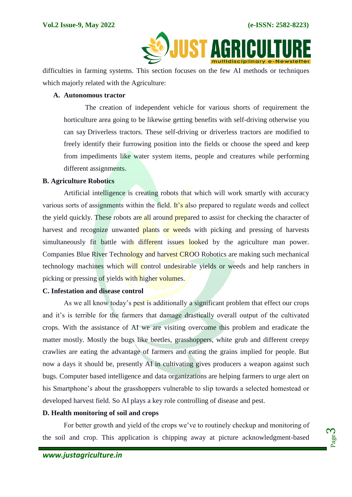

difficulties in farming systems. This section focuses on the few AI methods or techniques which majorly related with the Agriculture:

#### **A. Autonomous tractor**

The creation of independent vehicle for various shorts of requirement the horticulture area going to be likewise getting benefits with self-driving otherwise you can say Driverless tractors. These self-driving or driverless tractors are modified to freely identify their furrowing position into the fields or choose the speed and keep from impediments like water system items, people and creatures while performing different assignments.

#### **B. Agriculture Robotics**

Artificial intelligence is creating robots that which will work smartly with accuracy various sorts of assignments within the field. It's also prepared to regulate weeds and collect the yield quickly. These robots are all around prepared to assist for checking the character of harvest and recognize unwanted plants or weeds with picking and pressing of harvests simultaneously fit battle with different issues looked by the agriculture man power. Companies Blue River Technology and harvest CROO Robotics are making such mechanical technology machines which will control undesirable yields or weeds and help ranchers in picking or pressing of yields with higher volumes.

#### **C. Infestation and disease control**

As we all know today's pest is additionally a significant problem that effect our crops and it's is terrible for the farmers that damage drastically overall output of the cultivated crops. With the assistance of AI we are visiting overcome this problem and eradicate the matter mostly. Mostly the bugs like beetles, grasshoppers, white grub and different creepy crawlies are eating the advantage of farmers and eating the grains implied for people. But now a days it should be, presently AI in cultivating gives producers a weapon against such bugs. Computer based intelligence and data organizations are helping farmers to urge alert on his Smartphone's about the grasshoppers vulnerable to slip towards a selected homestead or developed harvest field. So AI plays a key role controlling of disease and pest.

## **D. Health monitoring of soil and crops**

For better growth and yield of the crops we've to routinely checkup and monitoring of the soil and crop. This application is chipping away at picture acknowledgment-based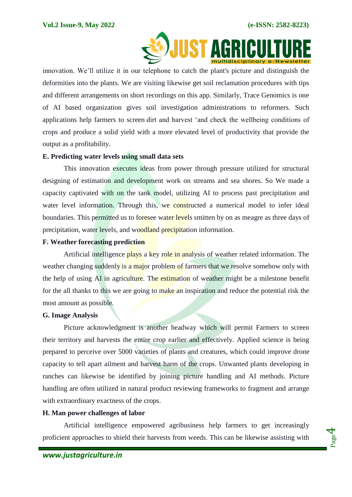

 innovation. We'll utilize it in our telephone to catch the plant's picture and distinguish the deformities into the plants. We are visiting likewise get soil reclamation procedures with tips and different arrangements on short recordings on this app. Similarly, Trace Genomics is one of AI based organization gives soil investigation administrations to reformers. Such applications help farmers to screen dirt and harvest 'and check the wellbeing conditions of crops and produce a solid yield with a more elevated level of productivity that provide the output as a profitability.

### **E. Predicting water levels using small data sets**

This innovation executes ideas from power through pressure utilized for structural designing of estimation and development work on streams and sea shores. So We made a capacity captivated with on the tank model, utilizing AI to process past precipitation and water level information. Through this, we constructed a numerical model to infer ideal boundaries. This permitted us to foresee water levels smitten by on as meagre as three days of precipitation, water levels, and woodland precipitation information.

### **F. Weather forecasting prediction**

Artificial intelligence plays a key role in analysis of weather related information. The weather changing suddenly is a major problem of farmers that we resolve somehow only with the help of using AI in agriculture. The estimation of weather might be a milestone benefit for the all thanks to this we are going to make an inspiration and reduce the potential risk the most amount as possible.

#### **G. Image Analysis**

Picture acknowledgment is another headway which will permit Farmers to screen their territory and harvests the entire crop earlier and effectively. Applied science is being prepared to perceive over 5000 varieties of plants and creatures, which could improve drone capacity to tell apart ailment and harvest harm of the crops. Unwanted plants developing in ranches can likewise be identified by joining picture handling and AI methods. Picture handling are often utilized in natural product reviewing frameworks to fragment and arrange with extraordinary exactness of the crops.

### **H. Man power challenges of labor**

Artificial intelligence empowered agribusiness help farmers to get increasingly proficient approaches to shield their harvests from weeds. This can be likewise assisting with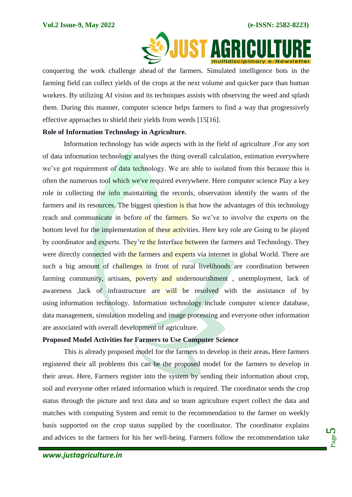

conquering the work challenge ahead of the farmers. Simulated intelligence bots in the farming field can collect yields of the crops at the next volume and quicker pace than human workers. By utilizing AI vision and its techniques assists with observing the weed and splash them. During this manner, computer science helps farmers to find a way that progressively effective approaches to shield their yields from weeds [15[16].

#### **Role of Information Technology in Agriculture.**

Information technology has wide aspects with in the field of agriculture .For any sort of data information technology analyses the thing overall calculation, estimation everywhere we've got requirement of data technology. We are able to isolated from this because this is often the numerous tool which we've required everywhere. Here computer science Play a key role in collecting the info maintaining the records, observation identify the wants of the farmers and its resources. The biggest question is that how the advantages of this technology reach and communicate in before of the farmers. So we've to involve the experts on the bottom level for the implementation of these activities. Here key role are Going to be played by coordinator and experts. They're the Interface between the farmers and Technology. They were directly connected with the farmers and experts via internet in global World. There are such a big amount of challenges in front of rural livelihoods are coordination between farming community, artisans, poverty and undernourishment, unemployment, lack of awareness ,lack of infrastructure are will be resolved with the assistance of by using information technology. Information technology include computer science database, data management, simulation modeling and image processing and everyone other information are associated with overall development of agriculture.

#### **Proposed Model Activities for Farmers to Use Computer Science**

This is already proposed model for the farmers to develop in their areas**.** Here farmers registered their all problems this can be the proposed model for the farmers to develop in their areas. Here, Farmers register into the system by sending their information about crop, soil and everyone other related information which is required. The coordinator sends the crop status through the picture and text data and so team agriculture expert collect the data and matches with computing System and remit to the recommendation to the farmer on weekly basis supported on the crop status supplied by the coordinator. The coordinator explains and advices to the farmers for his her well-being. Farmers follow the recommendation take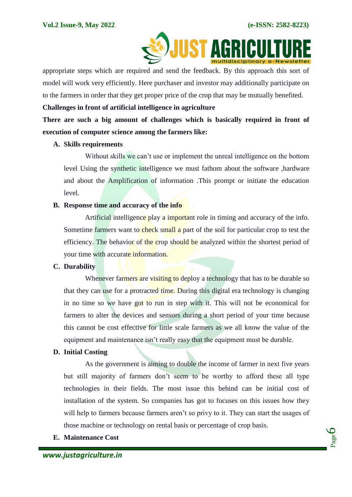

appropriate steps which are required and send the feedback. By this approach this sort of model will work very efficiently. Here purchaser and investor may additionally participate on to the farmers in order that they get proper price of the crop that may be mutually benefited.

## **Challenges in front of artificial intelligence in agriculture**

**There are such a big amount of challenges which is basically required in front of execution of computer science among the farmers like:**

### **A. Skills requirements**

Without skills we can't use or implement the unreal intelligence on the bottom level Using the synthetic intelligence we must fathom about the software ,hardware and about the Amplification of information .This prompt or initiate the education level.

## **B. Response time and accuracy of the info**

Artificial intelligence play a important role in timing and accuracy of the info. Sometime farmers want to check small a part of the soil for particular crop to test the efficiency. The behavior of the crop should be analyzed within the shortest period of your time with accurate information.

## **C. Durability**

Whenever farmers are visiting to deploy a technology that has to be durable so that they can use for a protracted time. During this digital era technology is changing in no time so we have got to run in step with it. This will not be economical for farmers to alter the devices and sensors during a short period of your time because this cannot be cost effective for little scale farmers as we all know the value of the equipment and maintenance isn't really easy that the equipment must be durable.

## **D. Initial Costing**

As the government is aiming to double the income of farmer in next five years but still majority of farmers don't seem to be worthy to afford these all type technologies in their fields. The most issue this behind can be initial cost of installation of the system. So companies has got to focuses on this issues how they will help to farmers because farmers aren't so privy to it. They can start the usages of those machine or technology on rental basis or percentage of crop basis.

## **E. Maintenance Cost**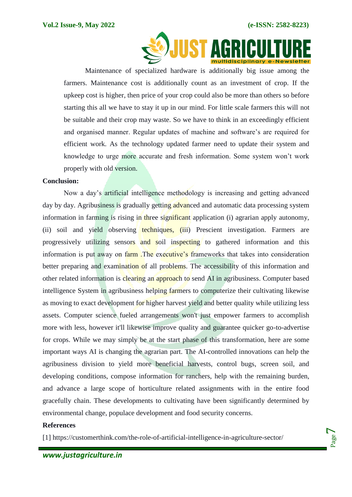

Maintenance of specialized hardware is additionally big issue among the farmers. Maintenance cost is additionally count as an investment of crop. If the upkeep cost is higher, then price of your crop could also be more than others so before starting this all we have to stay it up in our mind. For little scale farmers this will not be suitable and their crop may waste. So we have to think in an exceedingly efficient and organised manner. Regular updates of machine and software's are required for efficient work. As the technology updated farmer need to update their system and knowledge to urge more accurate and fresh information. Some system won't work properly with old version.

#### **Conclusion:**

Now a day's artificial intelligence methodology is increasing and getting advanced day by day. Agribusiness is gradually getting advanced and automatic data processing system information in farming is rising in three significant application (i) agrarian apply autonomy, (ii) soil and yield observing techniques, (iii) Prescient investigation. Farmers are progressively utilizing sensors and soil inspecting to gathered information and this information is put away on farm .The executive's frameworks that takes into consideration better preparing and examination of all problems. The accessibility of this information and other related information is clearing an approach to send AI in agribusiness. Computer based intelligence System in agribusiness helping farmers to computerize their cultivating likewise as moving to exact development for higher harvest yield and better quality while utilizing less assets. Computer science fueled arrangements won't just empower farmers to accomplish more with less, however it'll likewise improve quality and guarantee quicker go-to-advertise for crops. While we may simply be at the start phase of this transformation, here are some important ways AI is changing the agrarian part. The AI-controlled innovations can help the agribusiness division to yield more beneficial harvests, control bugs, screen soil, and developing conditions, compose information for ranchers, help with the remaining burden, and advance a large scope of horticulture related assignments with in the entire food gracefully chain. These developments to cultivating have been significantly determined by environmental change, populace development and food security concerns.

#### **References**

[1] https://customerthink.com/the-role-of-artificial-intelligence-in-agriculture-sector/